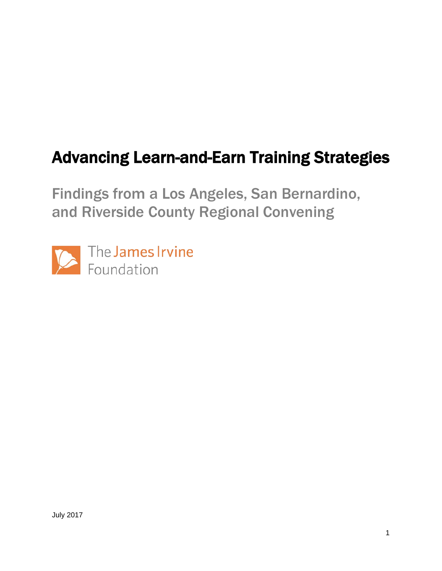# Advancing Learn-and-Earn Training Strategies

Findings from a Los Angeles, San Bernardino, and Riverside County Regional Convening

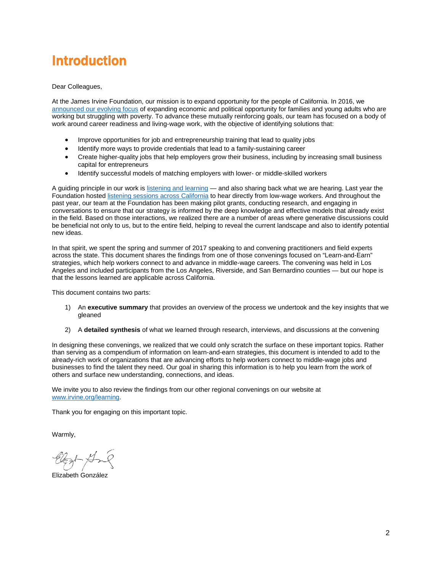# Introduction

Dear Colleagues,

At the James Irvine Foundation, our mission is to expand opportunity for the people of California. In 2016, we [announced our evolving focus](https://www.irvine.org/blog/irvine-evolving-focus) of expanding economic and political opportunity for families and young adults who are working but struggling with poverty. To advance these mutually reinforcing goals, our team has focused on a body of work around career readiness and living-wage work, with the objective of identifying solutions that:

- Improve opportunities for job and entrepreneurship training that lead to quality jobs
- Identify more ways to provide credentials that lead to a family-sustaining career
- Create higher-quality jobs that help employers grow their business, including by increasing small business capital for entrepreneurs
- Identify successful models of matching employers with lower- or middle-skilled workers

A guiding principle in our work is [listening and learning](https://www.irvine.org/blog/engaging-grantees-californians-to-inform-our-strategy) — and also sharing back what we are hearing. Last year the Foundation hosted [listening sessions across California](https://www.cavoices.net/) to hear directly from low-wage workers. And throughout the past year, our team at the Foundation has been making pilot grants, conducting research, and engaging in conversations to ensure that our strategy is informed by the deep knowledge and effective models that already exist in the field. Based on those interactions, we realized there are a number of areas where generative discussions could be beneficial not only to us, but to the entire field, helping to reveal the current landscape and also to identify potential new ideas.

In that spirit, we spent the spring and summer of 2017 speaking to and convening practitioners and field experts across the state. This document shares the findings from one of those convenings focused on "Learn-and-Earn" strategies, which help workers connect to and advance in middle-wage careers. The convening was held in Los Angeles and included participants from the Los Angeles, Riverside, and San Bernardino counties — but our hope is that the lessons learned are applicable across California.

This document contains two parts:

- 1) An **executive summary** that provides an overview of the process we undertook and the key insights that we gleaned
- 2) A **detailed synthesis** of what we learned through research, interviews, and discussions at the convening

In designing these convenings, we realized that we could only scratch the surface on these important topics. Rather than serving as a compendium of information on learn-and-earn strategies, this document is intended to add to the already-rich work of organizations that are advancing efforts to help workers connect to middle-wage jobs and businesses to find the talent they need. Our goal in sharing this information is to help you learn from the work of others and surface new understanding, connections, and ideas.

We invite you to also review the findings from our other regional convenings on our website at [www.irvine.org/learning.](http://www.irvine.org/learning)

Thank you for engaging on this important topic.

Warmly,

Elizabeth González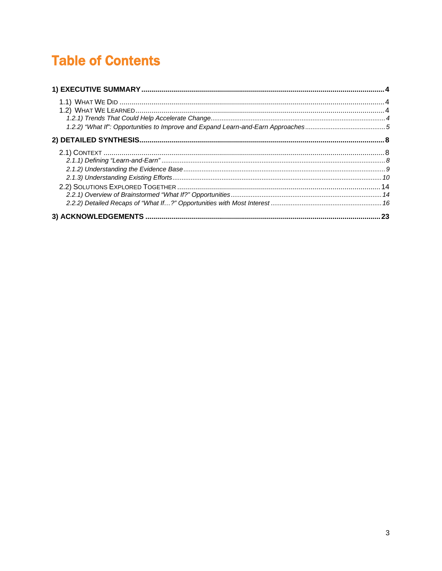# **Table of Contents**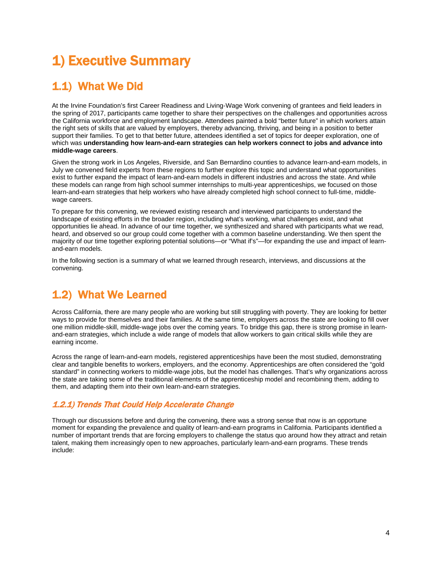# <span id="page-3-0"></span>1) Executive Summary

# <span id="page-3-1"></span>1.1) What We Did

At the Irvine Foundation's first Career Readiness and Living-Wage Work convening of grantees and field leaders in the spring of 2017, participants came together to share their perspectives on the challenges and opportunities across the California workforce and employment landscape. Attendees painted a bold "better future" in which workers attain the right sets of skills that are valued by employers, thereby advancing, thriving, and being in a position to better support their families. To get to that better future, attendees identified a set of topics for deeper exploration, one of which was **understanding how learn-and-earn strategies can help workers connect to jobs and advance into middle-wage careers**.

Given the strong work in Los Angeles, Riverside, and San Bernardino counties to advance learn-and-earn models, in July we convened field experts from these regions to further explore this topic and understand what opportunities exist to further expand the impact of learn-and-earn models in different industries and across the state. And while these models can range from high school summer internships to multi-year apprenticeships, we focused on those learn-and-earn strategies that help workers who have already completed high school connect to full-time, middlewage careers.

To prepare for this convening, we reviewed existing research and interviewed participants to understand the landscape of existing efforts in the broader region, including what's working, what challenges exist, and what opportunities lie ahead. In advance of our time together, we synthesized and shared with participants what we read, heard, and observed so our group could come together with a common baseline understanding. We then spent the majority of our time together exploring potential solutions—or "What if's"—for expanding the use and impact of learnand-earn models.

In the following section is a summary of what we learned through research, interviews, and discussions at the convening.

# <span id="page-3-2"></span>1.2) What We Learned

Across California, there are many people who are working but still struggling with poverty. They are looking for better ways to provide for themselves and their families. At the same time, employers across the state are looking to fill over one million middle-skill, middle-wage jobs over the coming years. To bridge this gap, there is strong promise in learnand-earn strategies, which include a wide range of models that allow workers to gain critical skills while they are earning income.

Across the range of learn-and-earn models, registered apprenticeships have been the most studied, demonstrating clear and tangible benefits to workers, employers, and the economy. Apprenticeships are often considered the "gold standard" in connecting workers to middle-wage jobs, but the model has challenges. That's why organizations across the state are taking some of the traditional elements of the apprenticeship model and recombining them, adding to them, and adapting them into their own learn-and-earn strategies.

### <span id="page-3-3"></span>1.2.1) Trends That Could Help Accelerate Change

Through our discussions before and during the convening, there was a strong sense that now is an opportune moment for expanding the prevalence and quality of learn-and-earn programs in California. Participants identified a number of important trends that are forcing employers to challenge the status quo around how they attract and retain talent, making them increasingly open to new approaches, particularly learn-and-earn programs. These trends include: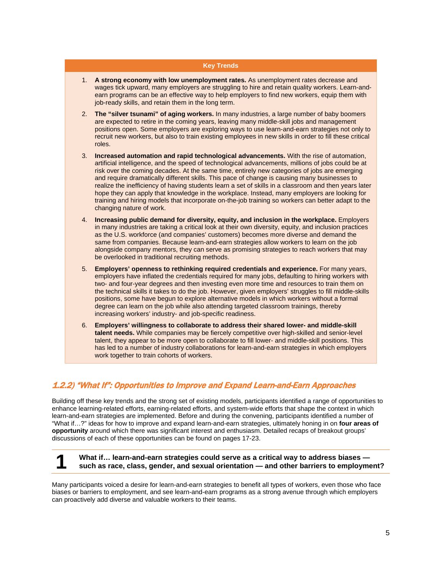#### **Key Trends**

- 1. **A strong economy with low unemployment rates.** As unemployment rates decrease and wages tick upward, many employers are struggling to hire and retain quality workers. Learn-andearn programs can be an effective way to help employers to find new workers, equip them with job-ready skills, and retain them in the long term.
- 2. **The "silver tsunami" of aging workers.** In many industries, a large number of baby boomers are expected to retire in the coming years, leaving many middle-skill jobs and management positions open. Some employers are exploring ways to use learn-and-earn strategies not only to recruit new workers, but also to train existing employees in new skills in order to fill these critical roles.
- 3. **Increased automation and rapid technological advancements.** With the rise of automation, artificial intelligence, and the speed of technological advancements, millions of jobs could be at risk over the coming decades. At the same time, entirely new categories of jobs are emerging and require dramatically different skills. This pace of change is causing many businesses to realize the inefficiency of having students learn a set of skills in a classroom and then years later hope they can apply that knowledge in the workplace. Instead, many employers are looking for training and hiring models that incorporate on-the-job training so workers can better adapt to the changing nature of work.
- 4. **Increasing public demand for diversity, equity, and inclusion in the workplace.** Employers in many industries are taking a critical look at their own diversity, equity, and inclusion practices as the U.S. workforce (and companies' customers) becomes more diverse and demand the same from companies. Because learn-and-earn strategies allow workers to learn on the job alongside company mentors, they can serve as promising strategies to reach workers that may be overlooked in traditional recruiting methods.
- 5. **Employers' openness to rethinking required credentials and experience.** For many years, employers have inflated the credentials required for many jobs, defaulting to hiring workers with two- and four-year degrees and then investing even more time and resources to train them on the technical skills it takes to do the job. However, given employers' struggles to fill middle-skills positions, some have begun to explore alternative models in which workers without a formal degree can learn on the job while also attending targeted classroom trainings, thereby increasing workers' industry- and job-specific readiness.
- 6. **Employers' willingness to collaborate to address their shared lower- and middle-skill talent needs.** While companies may be fiercely competitive over high-skilled and senior-level talent, they appear to be more open to collaborate to fill lower- and middle-skill positions. This has led to a number of industry collaborations for learn-and-earn strategies in which employers work together to train cohorts of workers.

### <span id="page-4-0"></span>1.2.2) "What If": Opportunities to Improve and Expand Learn-and-Earn Approaches

Building off these key trends and the strong set of existing models, participants identified a range of opportunities to enhance learning-related efforts, earning-related efforts, and system-wide efforts that shape the context in which learn-and-earn strategies are implemented. Before and during the convening, participants identified a number of "What if…?" ideas for how to improve and expand learn-and-earn strategies, ultimately honing in on **four areas of opportunity** around which there was significant interest and enthusiasm. Detailed recaps of breakout groups' discussions of each of these opportunities can be found on pages 17-23.

# **1 What if… learn-and-earn strategies could serve as a critical way to address biases — such as race, class, gender, and sexual orientation — and other barriers to employment?**

Many participants voiced a desire for learn-and-earn strategies to benefit all types of workers, even those who face biases or barriers to employment, and see learn-and-earn programs as a strong avenue through which employers can proactively add diverse and valuable workers to their teams.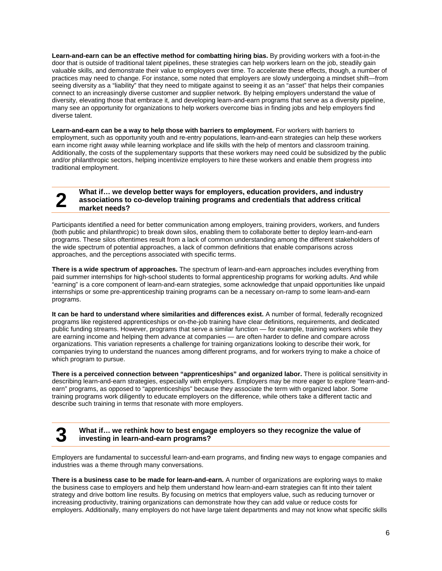**Learn-and-earn can be an effective method for combatting hiring bias.** By providing workers with a foot-in-the door that is outside of traditional talent pipelines, these strategies can help workers learn on the job, steadily gain valuable skills, and demonstrate their value to employers over time. To accelerate these effects, though, a number of practices may need to change. For instance, some noted that employers are slowly undergoing a mindset shift—from seeing diversity as a "liability" that they need to mitigate against to seeing it as an "asset" that helps their companies connect to an increasingly diverse customer and supplier network. By helping employers understand the value of diversity, elevating those that embrace it, and developing learn-and-earn programs that serve as a diversity pipeline, many see an opportunity for organizations to help workers overcome bias in finding jobs and help employers find diverse talent.

**Learn-and-earn can be a way to help those with barriers to employment.** For workers with barriers to employment, such as opportunity youth and re-entry populations, learn-and-earn strategies can help these workers earn income right away while learning workplace and life skills with the help of mentors and classroom training. Additionally, the costs of the supplementary supports that these workers may need could be subsidized by the public and/or philanthropic sectors, helping incentivize employers to hire these workers and enable them progress into traditional employment.

#### What if… we develop better ways for employers, education providers, and industry associations to co-develop training programs and credentials that address critical market needs? **associations to co-develop training programs and credentials that address critical market needs?**

Participants identified a need for better communication among employers, training providers, workers, and funders (both public and philanthropic) to break down silos, enabling them to collaborate better to deploy learn-and-earn programs. These silos oftentimes result from a lack of common understanding among the different stakeholders of the wide spectrum of potential approaches, a lack of common definitions that enable comparisons across approaches, and the perceptions associated with specific terms.

**There is a wide spectrum of approaches.** The spectrum of learn-and-earn approaches includes everything from paid summer internships for high-school students to formal apprenticeship programs for working adults. And while "earning" is a core component of learn-and-earn strategies, some acknowledge that unpaid opportunities like unpaid internships or some pre-apprenticeship training programs can be a necessary on-ramp to some learn-and-earn programs.

**It can be hard to understand where similarities and differences exist.** A number of formal, federally recognized programs like registered apprenticeships or on-the-job training have clear definitions, requirements, and dedicated public funding streams. However, programs that serve a similar function — for example, training workers while they are earning income and helping them advance at companies — are often harder to define and compare across organizations. This variation represents a challenge for training organizations looking to describe their work, for companies trying to understand the nuances among different programs, and for workers trying to make a choice of which program to pursue.

**There is a perceived connection between "apprenticeships" and organized labor.** There is political sensitivity in describing learn-and-earn strategies, especially with employers. Employers may be more eager to explore "learn-andearn" programs, as opposed to "apprenticeships" because they associate the term with organized labor. Some training programs work diligently to educate employers on the difference, while others take a different tactic and describe such training in terms that resonate with more employers.

#### **3 What if… we rethink how to best engage employers so they recognize the value of investing in learn-and-earn programs?**

Employers are fundamental to successful learn-and-earn programs, and finding new ways to engage companies and industries was a theme through many conversations.

**There is a business case to be made for learn-and-earn.** A number of organizations are exploring ways to make the business case to employers and help them understand how learn-and-earn strategies can fit into their talent strategy and drive bottom line results. By focusing on metrics that employers value, such as reducing turnover or increasing productivity, training organizations can demonstrate how they can add value or reduce costs for employers. Additionally, many employers do not have large talent departments and may not know what specific skills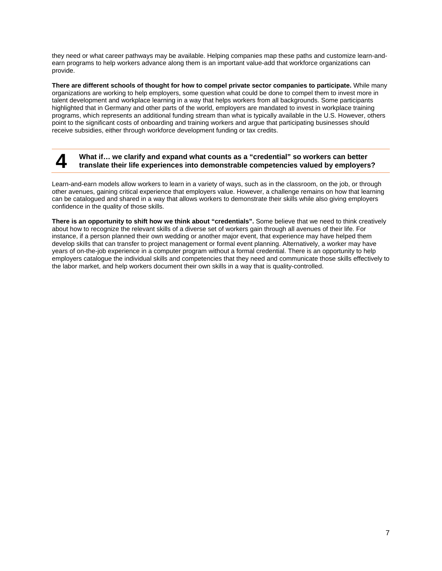they need or what career pathways may be available. Helping companies map these paths and customize learn-andearn programs to help workers advance along them is an important value-add that workforce organizations can provide.

**There are different schools of thought for how to compel private sector companies to participate.** While many organizations are working to help employers, some question what could be done to compel them to invest more in talent development and workplace learning in a way that helps workers from all backgrounds. Some participants highlighted that in Germany and other parts of the world, employers are mandated to invest in workplace training programs, which represents an additional funding stream than what is typically available in the U.S. However, others point to the significant costs of onboarding and training workers and argue that participating businesses should receive subsidies, either through workforce development funding or tax credits.

#### **4 What if… we clarify and expand what counts as a "credential" so workers can better translate their life experiences into demonstrable competencies valued by employers?**

Learn-and-earn models allow workers to learn in a variety of ways, such as in the classroom, on the job, or through other avenues, gaining critical experience that employers value. However, a challenge remains on how that learning can be catalogued and shared in a way that allows workers to demonstrate their skills while also giving employers confidence in the quality of those skills.

**There is an opportunity to shift how we think about "credentials".** Some believe that we need to think creatively about how to recognize the relevant skills of a diverse set of workers gain through all avenues of their life. For instance, if a person planned their own wedding or another major event, that experience may have helped them develop skills that can transfer to project management or formal event planning. Alternatively, a worker may have years of on-the-job experience in a computer program without a formal credential. There is an opportunity to help employers catalogue the individual skills and competencies that they need and communicate those skills effectively to the labor market, and help workers document their own skills in a way that is quality-controlled.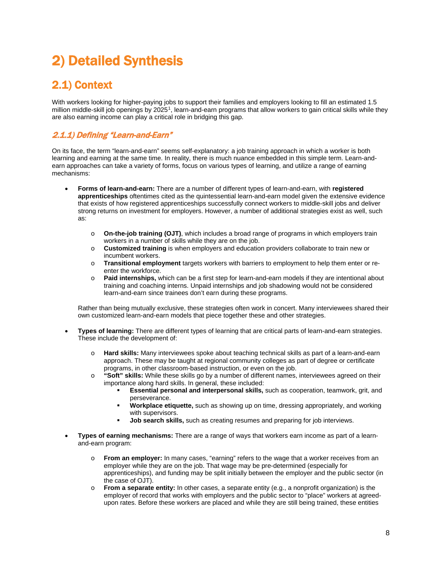# <span id="page-7-0"></span>2) Detailed Synthesis

# <span id="page-7-1"></span>2.1) Context

With workers looking for higher-paying jobs to support their families and employers looking to fill an estimated 1.5 million middle-skill job openings by 2025[1](#page-23-0), learn-and-earn programs that allow workers to gain critical skills while they are also earning income can play a critical role in bridging this gap.

## <span id="page-7-2"></span>2.1.1) Defining "Learn-and-Earn"

On its face, the term "learn-and-earn" seems self-explanatory: a job training approach in which a worker is both learning and earning at the same time. In reality, there is much nuance embedded in this simple term. Learn-andearn approaches can take a variety of forms, focus on various types of learning, and utilize a range of earning mechanisms:

- **Forms of learn-and-earn:** There are a number of different types of learn-and-earn, with **registered apprenticeships** oftentimes cited as the quintessential learn-and-earn model given the extensive evidence that exists of how registered apprenticeships successfully connect workers to middle-skill jobs and deliver strong returns on investment for employers. However, a number of additional strategies exist as well, such as:
	- o **On-the-job training (OJT)**, which includes a broad range of programs in which employers train workers in a number of skills while they are on the job.
	- o **Customized training** is when employers and education providers collaborate to train new or incumbent workers.
	- o **Transitional employment** targets workers with barriers to employment to help them enter or reenter the workforce.
	- o **Paid internships,** which can be a first step for learn-and-earn models if they are intentional about training and coaching interns. Unpaid internships and job shadowing would not be considered learn-and-earn since trainees don't earn during these programs.

Rather than being mutually exclusive, these strategies often work in concert. Many interviewees shared their own customized learn-and-earn models that piece together these and other strategies.

- **Types of learning:** There are different types of learning that are critical parts of learn-and-earn strategies. These include the development of:
	- o **Hard skills:** Many interviewees spoke about teaching technical skills as part of a learn-and-earn approach. These may be taught at regional community colleges as part of degree or certificate programs, in other classroom-based instruction, or even on the job.
	- o **"Soft" skills:** While these skills go by a number of different names, interviewees agreed on their importance along hard skills. In general, these included:
		- **Essential personal and interpersonal skills,** such as cooperation, teamwork, grit, and perseverance.
		- **Workplace etiquette,** such as showing up on time, dressing appropriately, and working with supervisors.
		- **Job search skills,** such as creating resumes and preparing for job interviews.
- **Types of earning mechanisms:** There are a range of ways that workers earn income as part of a learnand-earn program:
	- o **From an employer:** In many cases, "earning" refers to the wage that a worker receives from an employer while they are on the job. That wage may be pre-determined (especially for apprenticeships), and funding may be split initially between the employer and the public sector (in the case of OJT).
	- o **From a separate entity:** In other cases, a separate entity (e.g., a nonprofit organization) is the employer of record that works with employers and the public sector to "place" workers at agreedupon rates. Before these workers are placed and while they are still being trained, these entities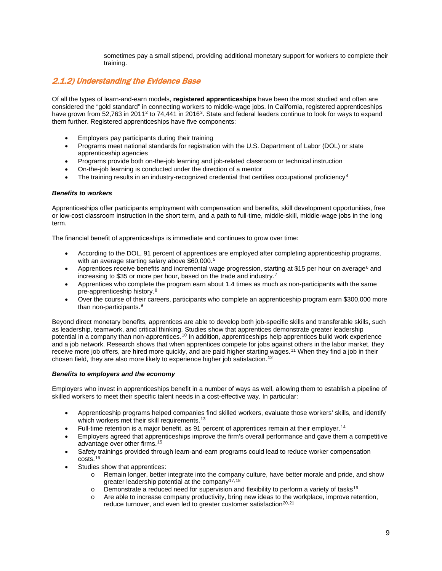sometimes pay a small stipend, providing additional monetary support for workers to complete their training.

### <span id="page-8-0"></span>2.1.2) Understanding the Evidence Base

Of all the types of learn-and-earn models, **registered apprenticeships** have been the most studied and often are considered the "gold standard" in connecting workers to middle-wage jobs. In California, registered apprenticeships have grown from 5[2](#page-23-1),763 in 2011<sup>2</sup> to 74,441 in 2016<sup>3</sup>. State and federal leaders continue to look for ways to expand them further. Registered apprenticeships have five components:

- Employers pay participants during their training
- Programs meet national standards for registration with the U.S. Department of Labor (DOL) or state apprenticeship agencies
- Programs provide both on-the-job learning and job-related classroom or technical instruction
- On-the-job learning is conducted under the direction of a mentor
- The training results in an industry-recognized credential that certifies occupational proficiency<sup>[4](#page-23-3)</sup>

#### *Benefits to workers*

Apprenticeships offer participants employment with compensation and benefits, skill development opportunities, free or low-cost classroom instruction in the short term, and a path to full-time, middle-skill, middle-wage jobs in the long term.

The financial benefit of apprenticeships is immediate and continues to grow over time:

- According to the DOL, 91 percent of apprentices are employed after completing apprenticeship programs, with an average starting salary above \$60,000.<sup>[5](#page-23-4)</sup>
- Apprentices receive benefits and incremental wage progression, starting at \$15 per hour on average<sup>[6](#page-23-5)</sup> and increasing to \$35 or more per hour, based on the trade and industry.[7](#page-23-6)
- Apprentices who complete the program earn about 1.4 times as much as non-participants with the same pre-apprenticeship history.[8](#page-23-7)
- Over the course of their careers, participants who complete an apprenticeship program earn \$300,000 more than non-participants.<sup>[9](#page-23-8)</sup>

Beyond direct monetary benefits, apprentices are able to develop both job-specific skills and transferable skills, such as leadership, teamwork, and critical thinking. Studies show that apprentices demonstrate greater leadership potential in a company than non-apprentices.[10](#page-23-9) In addition, apprenticeships help apprentices build work experience and a job network. Research shows that when apprentices compete for jobs against others in the labor market, they receive more job offers, are hired more quickly, and are paid higher starting wages.[11](#page-23-10) When they find a job in their chosen field, they are also more likely to experience higher job satisfaction.<sup>[12](#page-23-11)</sup>

#### *Benefits to employers and the economy*

Employers who invest in apprenticeships benefit in a number of ways as well, allowing them to establish a pipeline of skilled workers to meet their specific talent needs in a cost-effective way. In particular:

- Apprenticeship programs helped companies find skilled workers, evaluate those workers' skills, and identify which workers met their skill requirements.<sup>[13](#page-23-12)</sup>
- Full-time retention is a major benefit, as 91 percent of apprentices remain at their employer.[14](#page-23-13)
- Employers agreed that apprenticeships improve the firm's overall performance and gave them a competitive advantage over other firms.[15](#page-23-14)
- Safety trainings provided through learn-and-earn programs could lead to reduce worker compensation costs.[16](#page-23-15)
- Studies show that apprentices:
	- o Remain longer, better integrate into the company culture, have better morale and pride, and show greater leadership potential at the company<sup>[17](#page-24-0),[18](#page-24-1)</sup>
	- o Demonstrate a reduced need for supervision and flexibility to perform a variety of tasks<sup>[19](#page-24-2)</sup><br>O Are able to increase company productivity, bring new ideas to the workplace, improve reter
	- Are able to increase company productivity, bring new ideas to the workplace, improve retention, reduce turnover, and even led to greater customer satisfaction<sup>[20,](#page-24-3)[21](#page-24-4)</sup>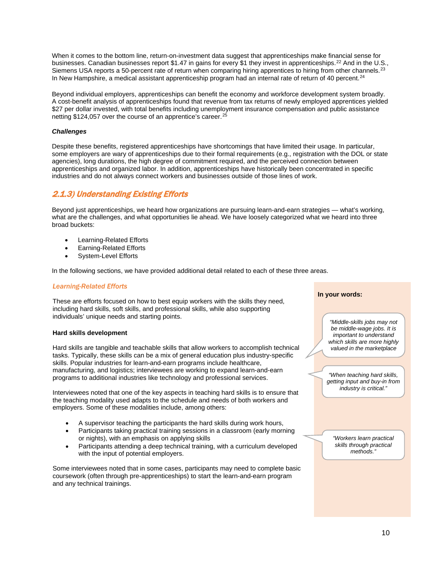When it comes to the bottom line, return-on-investment data suggest that apprenticeships make financial sense for businesses. Canadian businesses report \$1.47 in gains for every \$1 they invest in apprenticeships.<sup>[22](#page-24-5)</sup> And in the U.S., Siemens USA reports a 50-percent rate of return when comparing hiring apprentices to hiring from other channels.<sup>[23](#page-24-6)</sup> In New Hampshire, a medical assistant apprenticeship program had an internal rate of return of 40 percent.<sup>[24](#page-24-7)</sup>

Beyond individual employers, apprenticeships can benefit the economy and workforce development system broadly. A cost-benefit analysis of apprenticeships found that revenue from tax returns of newly employed apprentices yielded \$27 per dollar invested, with total benefits including unemployment insurance compensation and public assistance netting \$124,057 over the course of an apprentice's career.<sup>[25](#page-24-8)</sup>

#### *Challenges*

Despite these benefits, registered apprenticeships have shortcomings that have limited their usage. In particular, some employers are wary of apprenticeships due to their formal requirements (e.g., registration with the DOL or state agencies), long durations, the high degree of commitment required, and the perceived connection between apprenticeships and organized labor. In addition, apprenticeships have historically been concentrated in specific industries and do not always connect workers and businesses outside of those lines of work.

### <span id="page-9-0"></span>2.1.3) Understanding Existing Efforts

Beyond just apprenticeships, we heard how organizations are pursuing learn-and-earn strategies — what's working, what are the challenges, and what opportunities lie ahead. We have loosely categorized what we heard into three broad buckets:

- Learning-Related Efforts
- Earning-Related Efforts
- System-Level Efforts

In the following sections, we have provided additional detail related to each of these three areas.

#### *Learning-Related Efforts*

These are efforts focused on how to best equip workers with the skills they need, including hard skills, soft skills, and professional skills, while also supporting individuals' unique needs and starting points.

#### **Hard skills development**

Hard skills are tangible and teachable skills that allow workers to accomplish technical tasks. Typically, these skills can be a mix of general education plus industry-specific skills. Popular industries for learn-and-earn programs include healthcare, manufacturing, and logistics; interviewees are working to expand learn-and-earn programs to additional industries like technology and professional services.

Interviewees noted that one of the key aspects in teaching hard skills is to ensure that the teaching modality used adapts to the schedule and needs of both workers and employers. Some of these modalities include, among others:

- A supervisor teaching the participants the hard skills during work hours,
- Participants taking practical training sessions in a classroom (early morning or nights), with an emphasis on applying skills
- Participants attending a deep technical training, with a curriculum developed with the input of potential employers.

Some interviewees noted that in some cases, participants may need to complete basic coursework (often through pre-apprenticeships) to start the learn-and-earn program and any technical trainings.

#### **In your words:**

*"Middle-skills jobs may not be middle-wage jobs. It is important to understand which skills are more highly valued in the marketplace*

*"When teaching hard skills, getting input and buy-in from industry is critical."* 

*"Workers learn practical skills through practical methods."*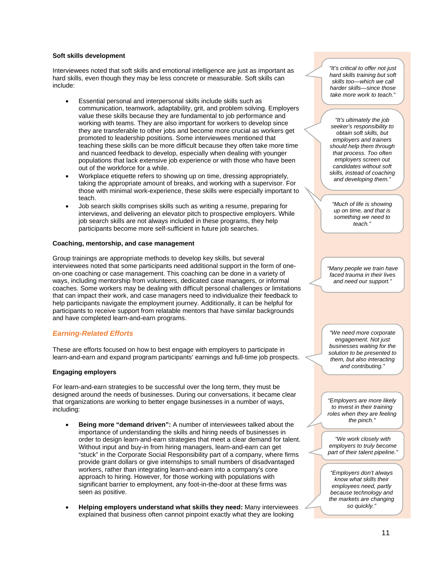#### **Soft skills development**

Interviewees noted that soft skills and emotional intelligence are just as important as hard skills, even though they may be less concrete or measurable. Soft skills can include:

- Essential personal and interpersonal skills include skills such as communication, teamwork, adaptability, grit, and problem solving. Employers value these skills because they are fundamental to job performance and working with teams. They are also important for workers to develop since they are transferable to other jobs and become more crucial as workers get promoted to leadership positions. Some interviewees mentioned that teaching these skills can be more difficult because they often take more time and nuanced feedback to develop, especially when dealing with younger populations that lack extensive job experience or with those who have been out of the workforce for a while.
- Workplace etiquette refers to showing up on time, dressing appropriately, taking the appropriate amount of breaks, and working with a supervisor. For those with minimal work-experience, these skills were especially important to teach.
- Job search skills comprises skills such as writing a resume, preparing for interviews, and delivering an elevator pitch to prospective employers. While job search skills are not always included in these programs, they help participants become more self-sufficient in future job searches.

#### **Coaching, mentorship, and case management**

Group trainings are appropriate methods to develop key skills, but several interviewees noted that some participants need additional support in the form of oneon-one coaching or case management. This coaching can be done in a variety of ways, including mentorship from volunteers, dedicated case managers, or informal coaches. Some workers may be dealing with difficult personal challenges or limitations that can impact their work, and case managers need to individualize their feedback to help participants navigate the employment journey. Additionally, it can be helpful for participants to receive support from relatable mentors that have similar backgrounds and have completed learn-and-earn programs.

#### *Earning-Related Efforts*

These are efforts focused on how to best engage with employers to participate in learn-and-earn and expand program participants' earnings and full-time job prospects.

#### **Engaging employers**

For learn-and-earn strategies to be successful over the long term, they must be designed around the needs of businesses. During our conversations, it became clear that organizations are working to better engage businesses in a number of ways, including:

- **Being more "demand driven":** A number of interviewees talked about the importance of understanding the skills and hiring needs of businesses in order to design learn-and-earn strategies that meet a clear demand for talent. Without input and buy-in from hiring managers, learn-and-earn can get "stuck" in the Corporate Social Responsibility part of a company, where firms provide grant dollars or give internships to small numbers of disadvantaged workers, rather than integrating learn-and-earn into a company's core approach to hiring. However, for those working with populations with significant barrier to employment, any foot-in-the-door at these firms was seen as positive.
- **Helping employers understand what skills they need:** Many interviewees explained that business often cannot pinpoint exactly what they are looking

*"It's critical to offer not just hard skills training but soft skills too—which we call harder skills—since those take more work to teach."*

*"It's ultimately the job seeker's responsibility to obtain soft skills, but employers and trainers should help them through that process. Too often employers screen out candidates without soft skills, instead of coaching and developing them."*

*"Much of life is showing up on time, and that is something we need to teach."*

*"Many people we train have faced trauma in their lives and need our support."*

*"We need more corporate engagement. Not just businesses waiting for the solution to be presented to them, but also interacting and contributing."*

*"Employers are more likely to invest in their training roles when they are feeling the pinch."*

*"We work closely with employers to truly become part of their talent pipeline."*

*"Employers don't always know what skills their employees need, partly because technology and the markets are changing so quickly."*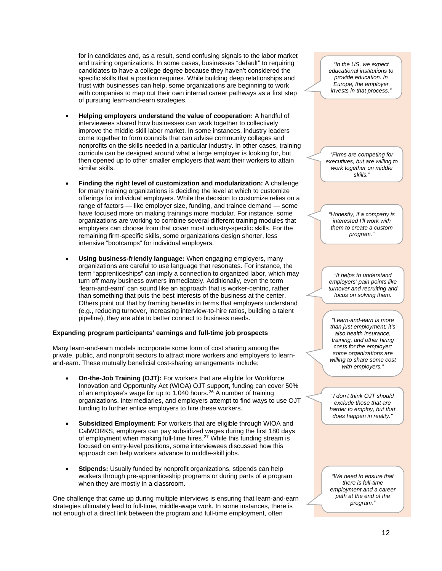for in candidates and, as a result, send confusing signals to the labor market and training organizations. In some cases, businesses "default" to requiring candidates to have a college degree because they haven't considered the specific skills that a position requires. While building deep relationships and trust with businesses can help, some organizations are beginning to work with companies to map out their own internal career pathways as a first step of pursuing learn-and-earn strategies.

- **Helping employers understand the value of cooperation:** A handful of interviewees shared how businesses can work together to collectively improve the middle-skill labor market. In some instances, industry leaders come together to form councils that can advise community colleges and nonprofits on the skills needed in a particular industry. In other cases, training curricula can be designed around what a large employer is looking for, but then opened up to other smaller employers that want their workers to attain similar skills.
- **Finding the right level of customization and modularization:** A challenge for many training organizations is deciding the level at which to customize offerings for individual employers. While the decision to customize relies on a range of factors — like employer size, funding, and trainee demand — some have focused more on making trainings more modular. For instance, some organizations are working to combine several different training modules that employers can choose from that cover most industry-specific skills. For the remaining firm-specific skills, some organizations design shorter, less intensive "bootcamps" for individual employers.
- **Using business-friendly language:** When engaging employers, many organizations are careful to use language that resonates. For instance, the term "apprenticeships" can imply a connection to organized labor, which may turn off many business owners immediately. Additionally, even the term "learn-and-earn" can sound like an approach that is worker-centric, rather than something that puts the best interests of the business at the center. Others point out that by framing benefits in terms that employers understand (e.g., reducing turnover, increasing interview-to-hire ratios, building a talent pipeline), they are able to better connect to business needs.

#### **Expanding program participants' earnings and full-time job prospects**

Many learn-and-earn models incorporate some form of cost sharing among the private, public, and nonprofit sectors to attract more workers and employers to learnand-earn. These mutually beneficial cost-sharing arrangements include:

- **On-the-Job Training (OJT):** For workers that are eligible for Workforce Innovation and Opportunity Act (WIOA) OJT support, funding can cover 50% of an employee's wage for up to 1,040 hours.<sup>[26](#page-24-9)</sup> A number of training organizations, intermediaries, and employers attempt to find ways to use OJT funding to further entice employers to hire these workers.
- **Subsidized Employment:** For workers that are eligible through WIOA and CalWORKS, employers can pay subsidized wages during the first 180 days of employment when making full-time hires.<sup>[27](#page-24-10)</sup> While this funding stream is focused on entry-level positions, some interviewees discussed how this approach can help workers advance to middle-skill jobs.
- **Stipends:** Usually funded by nonprofit organizations, stipends can help workers through pre-apprenticeship programs or during parts of a program when they are mostly in a classroom.

One challenge that came up during multiple interviews is ensuring that learn-and-earn strategies ultimately lead to full-time, middle-wage work. In some instances, there is not enough of a direct link between the program and full-time employment, often

*"In the US, we expect educational institutions to provide education. In Europe, the employer invests in that process."*

*"Firms are competing for executives, but are willing to work together on middle skills."*

*"Honestly, if a company is interested I'll work with them to create a custom program."*

*"It helps to understand employers' pain points like turnover and recruiting and focus on solving them.*

*"Learn-and-earn is more than just employment; it's also health insurance, training, and other hiring costs for the employer; some organizations are willing to share some cost with employers."*

*"I don't think OJT should exclude those that are harder to employ, but that does happen in reality."* 

*"We need to ensure that there is full-time employment and a career path at the end of the program."*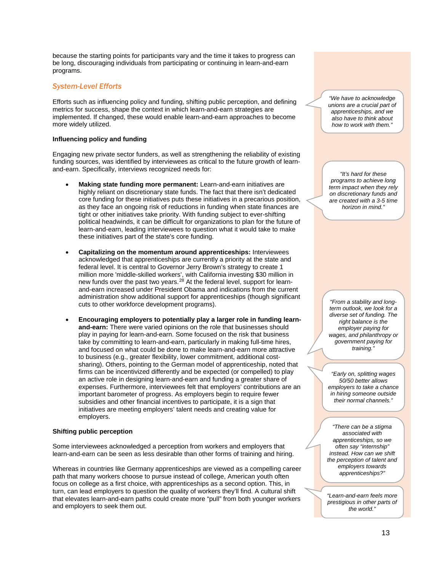because the starting points for participants vary and the time it takes to progress can be long, discouraging individuals from participating or continuing in learn-and-earn programs.

#### *System-Level Efforts*

Efforts such as influencing policy and funding, shifting public perception, and defining metrics for success, shape the context in which learn-and-earn strategies are implemented. If changed, these would enable learn-and-earn approaches to become more widely utilized.

#### **Influencing policy and funding**

Engaging new private sector funders, as well as strengthening the reliability of existing funding sources, was identified by interviewees as critical to the future growth of learnand-earn. Specifically, interviews recognized needs for:

- **Making state funding more permanent:** Learn-and-earn initiatives are highly reliant on discretionary state funds. The fact that there isn't dedicated core funding for these initiatives puts these initiatives in a precarious position, as they face an ongoing risk of reductions in funding when state finances are tight or other initiatives take priority. With funding subject to ever-shifting political headwinds, it can be difficult for organizations to plan for the future of learn-and-earn, leading interviewees to question what it would take to make these initiatives part of the state's core funding.
- **Capitalizing on the momentum around apprenticeships:** Interviewees acknowledged that apprenticeships are currently a priority at the state and federal level. It is central to Governor Jerry Brown's strategy to create 1 million more 'middle-skilled workers', with California investing \$30 million in new funds over the past two years.<sup>[28](#page-24-11)</sup> At the federal level, support for learnand-earn increased under President Obama and indications from the current administration show additional support for apprenticeships (though significant cuts to other workforce development programs).
- **Encouraging employers to potentially play a larger role in funding learnand-earn:** There were varied opinions on the role that businesses should play in paying for learn-and-earn. Some focused on the risk that business take by committing to learn-and-earn, particularly in making full-time hires, and focused on what could be done to make learn-and-earn more attractive to business (e.g., greater flexibility, lower commitment, additional costsharing). Others, pointing to the German model of apprenticeship, noted that firms can be incentivized differently and be expected (or compelled) to play an active role in designing learn-and-earn and funding a greater share of expenses. Furthermore, interviewees felt that employers' contributions are an important barometer of progress. As employers begin to require fewer subsidies and other financial incentives to participate, it is a sign that initiatives are meeting employers' talent needs and creating value for employers.

#### **Shifting public perception**

Some interviewees acknowledged a perception from workers and employers that learn-and-earn can be seen as less desirable than other forms of training and hiring.

Whereas in countries like Germany apprenticeships are viewed as a compelling career path that many workers choose to pursue instead of college, American youth often focus on college as a first choice, with apprenticeships as a second option. This, in turn, can lead employers to question the quality of workers they'll find. A cultural shift that elevates learn-and-earn paths could create more "pull" from both younger workers and employers to seek them out.

*"We have to acknowledge unions are a crucial part of apprenticeships, and we also have to think about how to work with them."*

*"It's hard for these programs to achieve long term impact when they rely on discretionary funds and are created with a 3-5 time horizon in mind."*

*"From a stability and longterm outlook, we look for a diverse set of funding. The right balance is the employer paying for wages, and philanthropy or government paying for training."*

*"Early on, splitting wages 50/50 better allows employers to take a chance in hiring someone outside their normal channels."* 

*"There can be a stigma associated with apprenticeships, so we often say "internship" instead. How can we shift the perception of talent and employers towards apprenticeships?"*

*"Learn-and-earn feels more prestigious in other parts of the world."*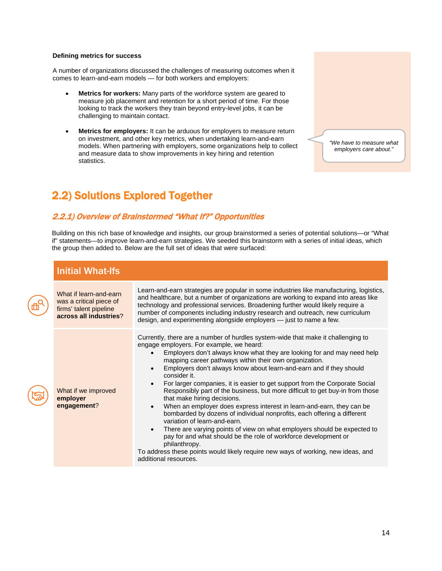#### **Defining metrics for success**

。<br><sub> </sub>

A number of organizations discussed the challenges of measuring outcomes when it comes to learn-and-earn models — for both workers and employers:

- **Metrics for workers:** Many parts of the workforce system are geared to measure job placement and retention for a short period of time. For those looking to track the workers they train beyond entry-level jobs, it can be challenging to maintain contact.
- **Metrics for employers:** It can be arduous for employers to measure return on investment, and other key metrics, when undertaking learn-and-earn models. When partnering with employers, some organizations help to collect and measure data to show improvements in key hiring and retention statistics.

*"We have to measure what employers care about."* 

## <span id="page-13-0"></span>2.2) Solutions Explored Together

### <span id="page-13-1"></span>2.2.1) Overview of Brainstormed "What If?" Opportunities

Building on this rich base of knowledge and insights, our group brainstormed a series of potential solutions—or "What if" statements—to improve learn-and-earn strategies. We seeded this brainstorm with a series of initial ideas, which the group then added to. Below are the full set of ideas that were surfaced:

| <b>Initial What-Ifs</b>                                                                               |                                                                                                                                                                                                                                                                                                                                                                                                                                                                                                                                                                                                                                                                                                                                                                                                                                                                                                                                                                                                                          |  |
|-------------------------------------------------------------------------------------------------------|--------------------------------------------------------------------------------------------------------------------------------------------------------------------------------------------------------------------------------------------------------------------------------------------------------------------------------------------------------------------------------------------------------------------------------------------------------------------------------------------------------------------------------------------------------------------------------------------------------------------------------------------------------------------------------------------------------------------------------------------------------------------------------------------------------------------------------------------------------------------------------------------------------------------------------------------------------------------------------------------------------------------------|--|
| What if learn-and-earn<br>was a critical piece of<br>firms' talent pipeline<br>across all industries? | Learn-and-earn strategies are popular in some industries like manufacturing, logistics,<br>and healthcare, but a number of organizations are working to expand into areas like<br>technology and professional services. Broadening further would likely require a<br>number of components including industry research and outreach, new curriculum<br>design, and experimenting alongside employers - just to name a few.                                                                                                                                                                                                                                                                                                                                                                                                                                                                                                                                                                                                |  |
| What if we improved<br>employer<br>engagement?                                                        | Currently, there are a number of hurdles system-wide that make it challenging to<br>engage employers. For example, we heard:<br>Employers don't always know what they are looking for and may need help<br>mapping career pathways within their own organization.<br>Employers don't always know about learn-and-earn and if they should<br>consider it.<br>For larger companies, it is easier to get support from the Corporate Social<br>Responsibly part of the business, but more difficult to get buy-in from those<br>that make hiring decisions.<br>When an employer does express interest in learn-and-earn, they can be<br>bombarded by dozens of individual nonprofits, each offering a different<br>variation of learn-and-earn.<br>There are varying points of view on what employers should be expected to<br>pay for and what should be the role of workforce development or<br>philanthropy.<br>To address these points would likely require new ways of working, new ideas, and<br>additional resources. |  |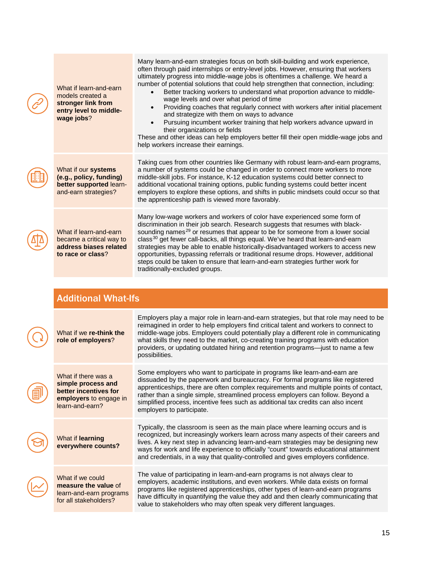| What if learn-and-earn<br>models created a<br>stronger link from<br>entry level to middle-<br>wage jobs? | Many learn-and-earn strategies focus on both skill-building and work experience,<br>often through paid internships or entry-level jobs. However, ensuring that workers<br>ultimately progress into middle-wage jobs is oftentimes a challenge. We heard a<br>number of potential solutions that could help strengthen that connection, including:<br>Better tracking workers to understand what proportion advance to middle-<br>wage levels and over what period of time<br>Providing coaches that regularly connect with workers after initial placement<br>$\bullet$<br>and strategize with them on ways to advance<br>Pursuing incumbent worker training that help workers advance upward in<br>their organizations or fields<br>These and other ideas can help employers better fill their open middle-wage jobs and<br>help workers increase their earnings. |  |
|----------------------------------------------------------------------------------------------------------|--------------------------------------------------------------------------------------------------------------------------------------------------------------------------------------------------------------------------------------------------------------------------------------------------------------------------------------------------------------------------------------------------------------------------------------------------------------------------------------------------------------------------------------------------------------------------------------------------------------------------------------------------------------------------------------------------------------------------------------------------------------------------------------------------------------------------------------------------------------------|--|
| What if our systems<br>(e.g., policy, funding)<br>better supported learn-<br>and-earn strategies?        | Taking cues from other countries like Germany with robust learn-and-earn programs,<br>a number of systems could be changed in order to connect more workers to more<br>middle-skill jobs. For instance, K-12 education systems could better connect to<br>additional vocational training options, public funding systems could better incent<br>employers to explore these options, and shifts in public mindsets could occur so that<br>the apprenticeship path is viewed more favorably.                                                                                                                                                                                                                                                                                                                                                                         |  |
| What if learn-and-earn<br>became a critical way to<br>address biases related<br>to race or class?        | Many low-wage workers and workers of color have experienced some form of<br>discrimination in their job search. Research suggests that resumes with black-<br>sounding names <sup>29</sup> or resumes that appear to be for someone from a lower social<br>class <sup>30</sup> get fewer call-backs, all things equal. We've heard that learn-and-earn<br>strategies may be able to enable historically-disadvantaged workers to access new<br>opportunities, bypassing referrals or traditional resume drops. However, additional<br>steps could be taken to ensure that learn-and-earn strategies further work for<br>traditionally-excluded groups.                                                                                                                                                                                                             |  |
|                                                                                                          |                                                                                                                                                                                                                                                                                                                                                                                                                                                                                                                                                                                                                                                                                                                                                                                                                                                                    |  |
|                                                                                                          | <b>Additional What-Ifs</b>                                                                                                                                                                                                                                                                                                                                                                                                                                                                                                                                                                                                                                                                                                                                                                                                                                         |  |
|                                                                                                          | Employers play a major role in learn-and-earn strategies, but that role may need to be<br>reimagined in order to help employers find critical talent and workers to connect to                                                                                                                                                                                                                                                                                                                                                                                                                                                                                                                                                                                                                                                                                     |  |

| What if we re-think the<br>role of employers?                                                                   | reimagined in order to help employers find critical talent and workers to connect to<br>middle-wage jobs. Employers could potentially play a different role in communicating<br>what skills they need to the market, co-creating training programs with education<br>providers, or updating outdated hiring and retention programs—just to name a few<br>possibilities.                                                                                     |
|-----------------------------------------------------------------------------------------------------------------|-------------------------------------------------------------------------------------------------------------------------------------------------------------------------------------------------------------------------------------------------------------------------------------------------------------------------------------------------------------------------------------------------------------------------------------------------------------|
| What if there was a<br>simple process and<br>better incentives for<br>employers to engage in<br>learn-and-earn? | Some employers who want to participate in programs like learn-and-earn are<br>dissuaded by the paperwork and bureaucracy. For formal programs like registered<br>apprenticeships, there are often complex requirements and multiple points of contact,<br>rather than a single simple, streamlined process employers can follow. Beyond a<br>simplified process, incentive fees such as additional tax credits can also incent<br>employers to participate. |
| What if learning<br>everywhere counts?                                                                          | Typically, the classroom is seen as the main place where learning occurs and is<br>recognized, but increasingly workers learn across many aspects of their careers and<br>lives. A key next step in advancing learn-and-earn strategies may be designing new<br>ways for work and life experience to officially "count" towards educational attainment<br>and credentials, in a way that quality-controlled and gives employers confidence.                 |
| What if we could<br>measure the value of<br>learn-and-earn programs<br>for all stakeholders?                    | The value of participating in learn-and-earn programs is not always clear to<br>employers, academic institutions, and even workers. While data exists on formal<br>programs like registered apprenticeships, other types of learn-and-earn programs<br>have difficulty in quantifying the value they add and then clearly communicating that<br>value to stakeholders who may often speak very different languages.                                         |
|                                                                                                                 |                                                                                                                                                                                                                                                                                                                                                                                                                                                             |

 $\overline{\mathcal{L}}$ 

 $\big($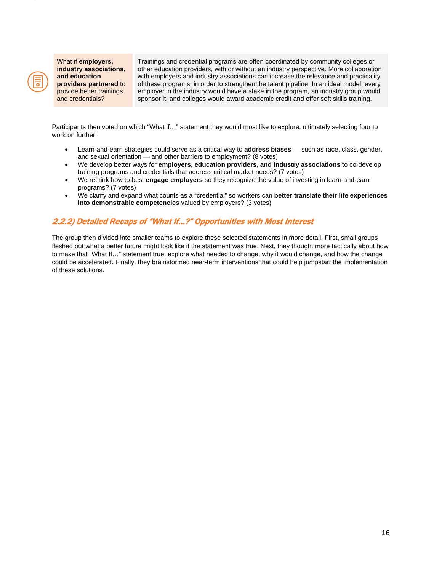

What if **employers, industry associations, and education providers partnered** to provide better trainings and credentials?

Trainings and credential programs are often coordinated by community colleges or other education providers, with or without an industry perspective. More collaboration with employers and industry associations can increase the relevance and practicality of these programs, in order to strengthen the talent pipeline. In an ideal model, every employer in the industry would have a stake in the program, an industry group would sponsor it, and colleges would award academic credit and offer soft skills training.

Participants then voted on which "What if…" statement they would most like to explore, ultimately selecting four to work on further:

- Learn-and-earn strategies could serve as a critical way to **address biases** such as race, class, gender, and sexual orientation — and other barriers to employment? (8 votes)
- We develop better ways for **employers, education providers, and industry associations** to co-develop training programs and credentials that address critical market needs? (7 votes)
- We rethink how to best **engage employers** so they recognize the value of investing in learn-and-earn programs? (7 votes)
- We clarify and expand what counts as a "credential" so workers can **better translate their life experiences into demonstrable competencies** valued by employers? (3 votes)

### <span id="page-15-0"></span>2.2.2) Detailed Recaps of "What If…?" Opportunities with Most Interest

The group then divided into smaller teams to explore these selected statements in more detail. First, small groups fleshed out what a better future might look like if the statement was true. Next, they thought more tactically about how to make that "What If…" statement true, explore what needed to change, why it would change, and how the change could be accelerated. Finally, they brainstormed near-term interventions that could help jumpstart the implementation of these solutions.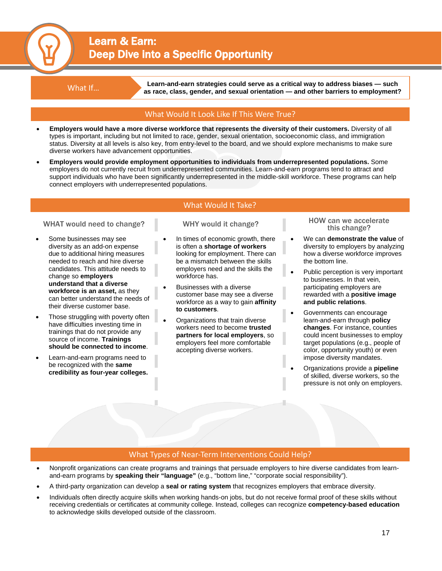## Learn & Earn: Deep Dive into a Specific Opportunity

What If… **Learn-and-earn strategies could serve as a critical way to address biases — such as race, class, gender, and sexual orientation — and other barriers to employment?**

#### What Would It Look Like If This Were True?

- **Employers would have a more diverse workforce that represents the diversity of their customers.** Diversity of all types is important, including but not limited to race, gender, sexual orientation, socioeconomic class, and immigration status. Diversity at all levels is also key, from entry-level to the board, and we should explore mechanisms to make sure diverse workers have advancement opportunities.
- **Employers would provide employment opportunities to individuals from underrepresented populations.** Some employers do not currently recruit from underrepresented communities. Learn-and-earn programs tend to attract and support individuals who have been significantly underrepresented in the middle-skill workforce. These programs can help connect employers with underrepresented populations.

### What Would It Take?

#### WHAT would need to change? WHY would it change?

- Some businesses may see diversity as an add-on expense due to additional hiring measures needed to reach and hire diverse candidates. This attitude needs to change so **employers understand that a diverse workforce is an asset,** as they can better understand the needs of their diverse customer base.
- Those struggling with poverty often have difficulties investing time in trainings that do not provide any source of income. **Trainings should be connected to income**.
- Learn-and-earn programs need to be recognized with the **same credibility as four-year colleges.**

- In times of economic growth, there is often a **shortage of workers** looking for employment. There can be a mismatch between the skills employers need and the skills the workforce has.
- Businesses with a diverse customer base may see a diverse workforce as a way to gain **affinity to customers**.
- Organizations that train diverse workers need to become **trusted partners for local employers**, so employers feel more comfortable accepting diverse workers.

HOW can we accelerate

- We can **demonstrate the value** of diversity to employers by analyzing how a diverse workforce improves the bottom line.
- Public perception is very important to businesses. In that vein, participating employers are rewarded with a **positive image and public relations**.
- Governments can encourage learn-and-earn through **policy changes**. For instance, counties could incent businesses to employ target populations (e.g., people of color, opportunity youth) or even impose diversity mandates.
- Organizations provide a **pipeline** of skilled, diverse workers, so the pressure is not only on employers.

#### What Types of Near-Term Interventions Could Help?

- Nonprofit organizations can create programs and trainings that persuade employers to hire diverse candidates from learnand-earn programs by **speaking their "language"** (e.g., "bottom line," "corporate social responsibility").
- A third-party organization can develop a **seal or rating system** that recognizes employers that embrace diversity.
- Individuals often directly acquire skills when working hands-on jobs, but do not receive formal proof of these skills without receiving credentials or certificates at community college. Instead, colleges can recognize **competency-based education** to acknowledge skills developed outside of the classroom.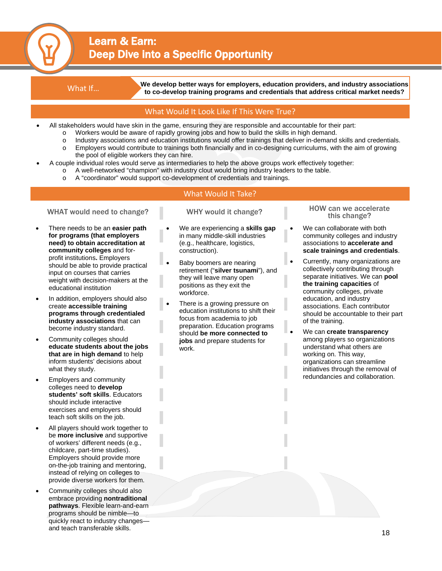## Learn & Earn: Deep Dive into a Specific Opportunity

What If… **We develop better ways for employers, education providers, and industry associations to co-develop training programs and credentials that address critical market needs?**

#### What Would It Look Like If This Were True?

- All stakeholders would have skin in the game, ensuring they are responsible and accountable for their part:
	- o Workers would be aware of rapidly growing jobs and how to build the skills in high demand.
	- o Industry associations and education institutions would offer trainings that deliver in-demand skills and credentials.<br>
	In Franciens would contribute to trainings both financially and in co-designing curriculums, with the
	- Employers would contribute to trainings both financially and in co-designing curriculums, with the aim of growing the pool of eligible workers they can hire.
	- A couple individual roles would serve as intermediaries to help the above groups work effectively together:
		- o A well-networked "champion" with industry clout would bring industry leaders to the table.
		- o A "coordinator" would support co-development of credentials and trainings.

#### What Would It Take?

- There needs to be an **easier path for programs (that employers need) to obtain accreditation at community colleges** and forprofit institutions**.** Employers should be able to provide practical input on courses that carries weight with decision-makers at the educational institution
- In addition, employers should also create **accessible training programs through credentialed industry associations** that can become industry standard.
- Community colleges should **educate students about the jobs that are in high demand** to help inform students' decisions about what they study.
- Employers and community colleges need to **develop students' soft skills**. Educators should include interactive exercises and employers should teach soft skills on the job.
- All players should work together to be **more inclusive** and supportive of workers' different needs (e.g., childcare, part-time studies). Employers should provide more on-the-job training and mentoring, instead of relying on colleges to provide diverse workers for them.
- Community colleges should also embrace providing **nontraditional pathways**. Flexible learn-and-earn programs should be nimble—to quickly react to industry changes and teach transferable skills.

- We are experiencing a **skills gap** in many middle-skill industries (e.g., healthcare, logistics, construction).
- Baby boomers are nearing retirement ("**silver tsunami**"), and they will leave many open positions as they exit the workforce.
- There is a growing pressure on education institutions to shift their focus from academia to job preparation. Education programs should **be more connected to jobs** and prepare students for work.

WHAT would need to change? WHY would it change? WHAT would need to change? WHY would it change?

- We can collaborate with both community colleges and industry associations to **accelerate and scale trainings and credentials**.
- Currently, many organizations are collectively contributing through separate initiatives. We can **pool the training capacities** of community colleges, private education, and industry associations. Each contributor should be accountable to their part of the training.
- We can **create transparency** among players so organizations understand what others are working on. This way, organizations can streamline initiatives through the removal of redundancies and collaboration.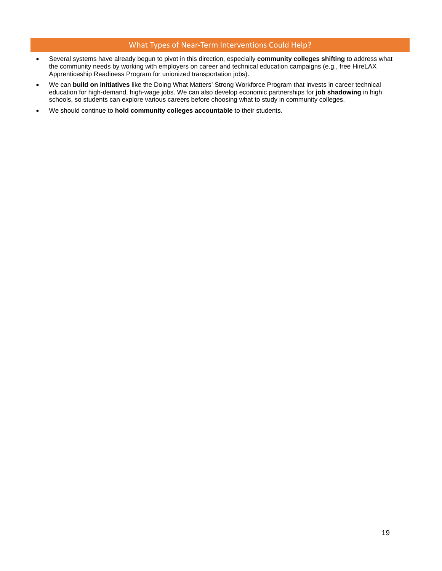#### What Types of Near-Term Interventions Could Help?

- Several systems have already begun to pivot in this direction, especially **community colleges shifting** to address what the community needs by working with employers on career and technical education campaigns (e.g., free HireLAX Apprenticeship Readiness Program for unionized transportation jobs).
- We can **build on initiatives** like the Doing What Matters' Strong Workforce Program that invests in career technical education for high-demand, high-wage jobs. We can also develop economic partnerships for **job shadowing** in high schools, so students can explore various careers before choosing what to study in community colleges.
- We should continue to **hold community colleges accountable** to their students.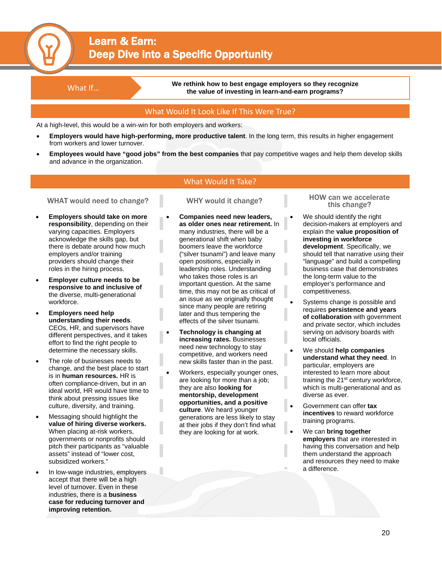## Learn & Earn: Deep Dive into a Specific Opportunity

What If... **We rethink how to best engage employers so they recognize the value of investing in learn-and-earn programs?**

#### What Would It Look Like If This Were True?

At a high-level, this would be a win-win for both employers and workers:

- **Employers would have high-performing, more productive talent**. In the long term, this results in higher engagement from workers and lower turnover.
- **Employees would have "good jobs" from the best companies** that pay competitive wages and help them develop skills and advance in the organization.

#### What Would It Take?

#### WHAT would need to change? WHY would it change?

- **Employers should take on more responsibility**, depending on their varying capacities. Employers acknowledge the skills gap, but there is debate around how much employers and/or training providers should change their roles in the hiring process.
- **Employer culture needs to be responsive to and inclusive of** the diverse, multi-generational workforce.
- **Employers need help understanding their needs**. CEOs, HR, and supervisors have different perspectives, and it takes effort to find the right people to determine the necessary skills.
- The role of businesses needs to change, and the best place to start is in **human resources.** HR is often compliance-driven, but in an ideal world, HR would have time to think about pressing issues like culture, diversity, and training.
- Messaging should highlight the **value of hiring diverse workers.**  When placing at-risk workers, governments or nonprofits should pitch their participants as "valuable assets" instead of "lower cost, subsidized workers."
- In low-wage industries, employers accept that there will be a high level of turnover. Even in these industries, there is a **business case for reducing turnover and improving retention.**

- **Companies need new leaders, as older ones near retirement.** In many industries, there will be a generational shift when baby boomers leave the workforce ("silver tsunami") and leave many open positions, especially in leadership roles. Understanding who takes those roles is an important question. At the same time, this may not be as critical of an issue as we originally thought since many people are retiring later and thus tempering the effects of the silver tsunami.
- **Technology is changing at increasing rates.** Businesses need new technology to stay competitive, and workers need new skills faster than in the past.
- Workers, especially younger ones, are looking for more than a job; they are also **looking for mentorship, development opportunities, and a positive culture**. We heard younger generations are less likely to stay at their jobs if they don't find what they are looking for at work.

HOW can we accelerate

- We should identify the right decision-makers at employers and explain the **value proposition of investing in workforce development**. Specifically, we should tell that narrative using their "language" and build a compelling business case that demonstrates the long-term value to the employer's performance and competitiveness.
- Systems change is possible and requires **persistence and years of collaboration** with government and private sector, which includes serving on advisory boards with local officials.
- We should **help companies understand what they need**. In particular, employers are interested to learn more about training the 21<sup>st</sup> century workforce, which is multi-generational and as diverse as ever.
- Government can offer **tax incentives** to reward workforce training programs.
- We can **bring together employers** that are interested in having this conversation and help them understand the approach and resources they need to make a difference.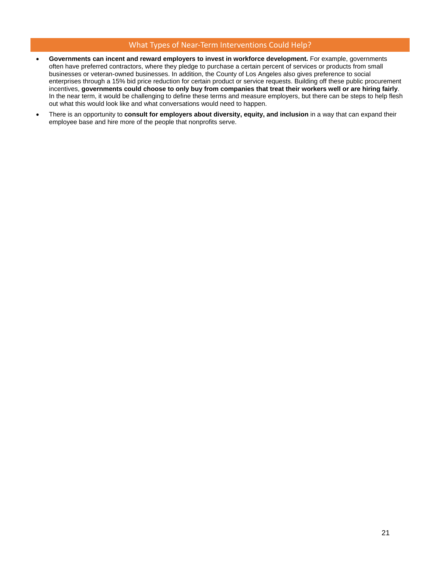#### What Types of Near-Term Interventions Could Help?

- **Governments can incent and reward employers to invest in workforce development.** For example, governments often have preferred contractors, where they pledge to purchase a certain percent of services or products from small businesses or veteran-owned businesses. In addition, the County of Los Angeles also gives preference to social enterprises through a 15% bid price reduction for certain product or service requests. Building off these public procurement incentives, **governments could choose to only buy from companies that treat their workers well or are hiring fairly**. In the near term, it would be challenging to define these terms and measure employers, but there can be steps to help flesh out what this would look like and what conversations would need to happen.
- There is an opportunity to **consult for employers about diversity, equity, and inclusion** in a way that can expand their employee base and hire more of the people that nonprofits serve.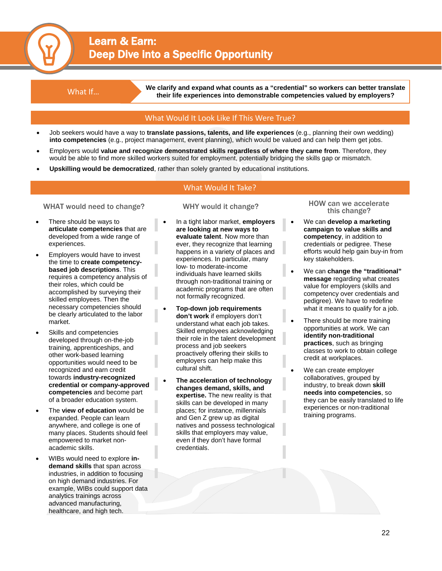## Learn & Earn: Deep Dive into a Specific Opportunity

We clarify and expand what counts as a "credential" so workers can better translate<br>their life experiences into demonstrable compatencies valued by employers? **their life experiences into demonstrable competencies valued by employers?**

#### What Would It Look Like If This Were True?

- Job seekers would have a way to **translate passions, talents, and life experiences** (e.g., planning their own wedding) **into competencies** (e.g., project management, event planning), which would be valued and can help them get jobs.
- Employers would **value and recognize demonstrated skills regardless of where they came from**. Therefore, they would be able to find more skilled workers suited for employment, potentially bridging the skills gap or mismatch.
- **Upskilling would be democratized**, rather than solely granted by educational institutions.

#### What Would It Take?

#### WHAT would need to change? WHY would it change?

- There should be ways to **articulate competencies** that are developed from a wide range of experiences.
- Employers would have to invest the time to **create competencybased job descriptions**. This requires a competency analysis of their roles, which could be accomplished by surveying their skilled employees. Then the necessary competencies should be clearly articulated to the labor market.
- Skills and competencies developed through on-the-job training, apprenticeships, and other work-based learning opportunities would need to be recognized and earn credit towards **industry-recognized credential or company-approved competencies** and become part of a broader education system.
- The **view of education** would be expanded. People can learn anywhere, and college is one of many places. Students should feel empowered to market nonacademic skills.
- WIBs would need to explore **indemand skills** that span across industries, in addition to focusing on high demand industries. For example, WIBs could support data analytics trainings across advanced manufacturing, healthcare, and high tech.

- In a tight labor market, **employers are looking at new ways to evaluate talent**. Now more than ever, they recognize that learning happens in a variety of places and experiences. In particular, many low- to moderate-income individuals have learned skills through non-traditional training or academic programs that are often not formally recognized.
- **Top-down job requirements don't work** if employers don't understand what each job takes. Skilled employees acknowledging their role in the talent development process and job seekers proactively offering their skills to employers can help make this cultural shift.
- **The acceleration of technology changes demand, skills, and expertise.** The new reality is that skills can be developed in many places; for instance, millennials and Gen Z grew up as digital natives and possess technological skills that employers may value, even if they don't have formal credentials.

HOW can we accelerate

- We can **develop a marketing campaign to value skills and competency**, in addition to credentials or pedigree. These efforts would help gain buy-in from key stakeholders.
- We can **change the "traditional" message** regarding what creates value for employers (skills and competency over credentials and pedigree). We have to redefine what it means to qualify for a job.
- There should be more training opportunities at work. We can **identify non-traditional practices**, such as bringing classes to work to obtain college credit at workplaces.
- We can create employer collaboratives, grouped by industry, to break down **skill needs into competencies**, so they can be easily translated to life experiences or non-traditional training programs.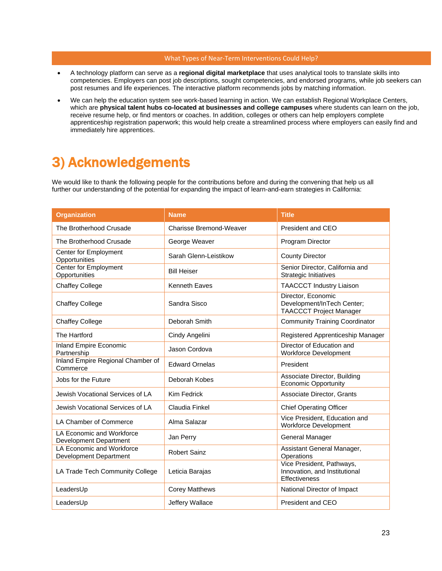#### What Types of Near-Term Interventions Could Help?

- A technology platform can serve as a **regional digital marketplace** that uses analytical tools to translate skills into competencies. Employers can post job descriptions, sought competencies, and endorsed programs, while job seekers can post resumes and life experiences. The interactive platform recommends jobs by matching information.
- We can help the education system see work-based learning in action. We can establish Regional Workplace Centers, which are **physical talent hubs co-located at businesses and college campuses** where students can learn on the job, receive resume help, or find mentors or coaches. In addition, colleges or others can help employers complete apprenticeship registration paperwork; this would help create a streamlined process where employers can easily find and immediately hire apprentices.

# <span id="page-22-0"></span>3) Acknowledgements

We would like to thank the following people for the contributions before and during the convening that help us all further our understanding of the potential for expanding the impact of learn-and-earn strategies in California:

| <b>Organization</b>                                        | <b>Name</b>                    | <b>Title</b>                                                                       |
|------------------------------------------------------------|--------------------------------|------------------------------------------------------------------------------------|
| The Brotherhood Crusade                                    | <b>Charisse Bremond-Weaver</b> | President and CEO                                                                  |
| The Brotherhood Crusade                                    | George Weaver                  | Program Director                                                                   |
| Center for Employment<br>Opportunities                     | Sarah Glenn-Leistikow          | <b>County Director</b>                                                             |
| <b>Center for Employment</b><br>Opportunities              | <b>Bill Heiser</b>             | Senior Director, California and<br><b>Strategic Initiatives</b>                    |
| <b>Chaffey College</b>                                     | <b>Kenneth Eaves</b>           | <b>TAACCCT Industry Liaison</b>                                                    |
| <b>Chaffey College</b>                                     | Sandra Sisco                   | Director, Economic<br>Development/InTech Center;<br><b>TAACCCT Project Manager</b> |
| <b>Chaffey College</b>                                     | Deborah Smith                  | <b>Community Training Coordinator</b>                                              |
| The Hartford                                               | Cindy Angelini                 | Registered Apprenticeship Manager                                                  |
| <b>Inland Empire Economic</b><br>Partnership               | Jason Cordova                  | Director of Education and<br>Workforce Development                                 |
| Inland Empire Regional Chamber of<br>Commerce              | <b>Edward Ornelas</b>          | President                                                                          |
| Jobs for the Future                                        | Deborah Kobes                  | Associate Director, Building<br><b>Economic Opportunity</b>                        |
| Jewish Vocational Services of LA                           | Kim Fedrick                    | Associate Director, Grants                                                         |
| Jewish Vocational Services of LA                           | Claudia Finkel                 | <b>Chief Operating Officer</b>                                                     |
| LA Chamber of Commerce                                     | Alma Salazar                   | Vice President, Education and<br><b>Workforce Development</b>                      |
| LA Economic and Workforce<br><b>Development Department</b> | Jan Perry                      | General Manager                                                                    |
| LA Economic and Workforce<br>Development Department        | <b>Robert Sainz</b>            | Assistant General Manager,<br>Operations                                           |
| LA Trade Tech Community College                            | Leticia Barajas                | Vice President, Pathways,<br>Innovation, and Institutional<br>Effectiveness        |
| LeadersUp                                                  | <b>Corey Matthews</b>          | National Director of Impact                                                        |
| LeadersUp                                                  | Jeffery Wallace                | President and CEO                                                                  |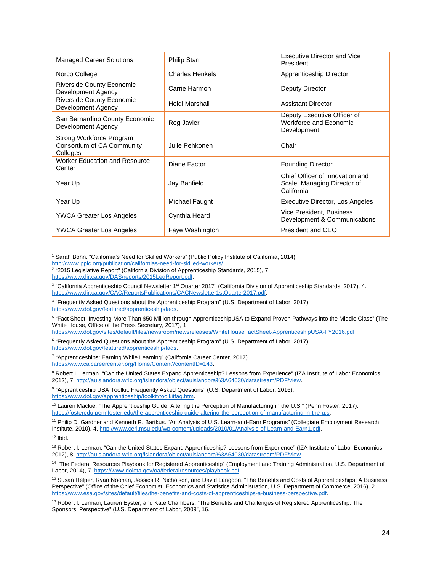| <b>Managed Career Solutions</b>                                    | <b>Philip Starr</b>    | <b>Executive Director and Vice</b><br>President                              |
|--------------------------------------------------------------------|------------------------|------------------------------------------------------------------------------|
| Norco College                                                      | <b>Charles Henkels</b> | Apprenticeship Director                                                      |
| <b>Riverside County Economic</b><br>Development Agency             | Carrie Harmon          | Deputy Director                                                              |
| <b>Riverside County Economic</b><br>Development Agency             | Heidi Marshall         | <b>Assistant Director</b>                                                    |
| San Bernardino County Economic<br>Development Agency               | Reg Javier             | Deputy Executive Officer of<br>Workforce and Economic<br>Development         |
| Strong Workforce Program<br>Consortium of CA Community<br>Colleges | Julie Pehkonen         | Chair                                                                        |
| <b>Worker Education and Resource</b><br>Center                     | Diane Factor           | <b>Founding Director</b>                                                     |
| Year Up                                                            | Jay Banfield           | Chief Officer of Innovation and<br>Scale; Managing Director of<br>California |
| Year Up                                                            | Michael Faught         | Executive Director, Los Angeles                                              |
| <b>YWCA Greater Los Angeles</b>                                    | Cynthia Heard          | Vice President, Business<br>Development & Communications                     |
| <b>YWCA Greater Los Angeles</b>                                    | Faye Washington        | President and CEO                                                            |

<sup>1</sup> Sarah Bohn. "California's Need for Skilled Workers" (Public Policy Institute of California, 2014). -

<span id="page-23-4"></span><sup>5</sup> "Fact Sheet: Investing More Than \$50 Million through ApprenticeshipUSA to Expand Proven Pathways into the Middle Class" (The White House, Office of the Press Secretary, 2017), 1.

<https://www.dol.gov/sites/default/files/newsroom/newsreleases/WhiteHouseFactSheet-ApprenticeshipUSA-FY2016.pdf>

<span id="page-23-5"></span><sup>6</sup> "Frequently Asked Questions about the Apprenticeship Program" (U.S. Department of Labor, 2017). [https://www.dol.gov/featured/apprenticeship/faqs.](https://www.dol.gov/featured/apprenticeship/faqs)

<span id="page-23-6"></span><sup>7</sup> "Apprenticeships: Earning While Learning" (California Career Center, 2017). [https://www.calcareercenter.org/Home/Content?contentID=143.](https://www.calcareercenter.org/Home/Content?contentID=143)

<span id="page-23-7"></span><sup>8</sup> Robert I. Lerman. "Can the United States Expand Apprenticeship? Lessons from Experience" (IZA Institute of Labor Economics, 2012), 7. [http://auislandora.wrlc.org/islandora/object/auislandora%3A64030/datastream/PDF/view.](http://auislandora.wrlc.org/islandora/object/auislandora%3A64030/datastream/PDF/view)

<span id="page-23-8"></span>9 "Apprenticeship USA Toolkit: Frequently Asked Questions" (U.S. Department of Labor, 2016). [https://www.dol.gov/apprenticeship/toolkit/toolkitfaq.htm.](https://www.dol.gov/apprenticeship/toolkit/toolkitfaq.htm) 

<span id="page-23-9"></span><sup>10</sup> Lauren Mackie. "The Apprenticeship Guide: Altering the Perception of Manufacturing in the U.S." (Penn Foster, 2017). [https://fosteredu.pennfoster.edu/the-apprenticeship-guide-altering-the-perception-of-manufacturing-in-the-u.s.](https://fosteredu.pennfoster.edu/the-apprenticeship-guide-altering-the-perception-of-manufacturing-in-the-u.s) 

<span id="page-23-11"></span> $12$  Ihid

<span id="page-23-12"></span><sup>13</sup> Robert I. Lerman. "Can the United States Expand Apprenticeship? Lessons from Experience" (IZA Institute of Labor Economics, 2012), 8. [http://auislandora.wrlc.org/islandora/object/auislandora%3A64030/datastream/PDF/view.](http://auislandora.wrlc.org/islandora/object/auislandora%3A64030/datastream/PDF/view)

<span id="page-23-13"></span><sup>14</sup> "The Federal Resources Playbook for Registered Apprenticeship" (Employment and Training Administration, U.S. Department of Labor, 2014), 7[. https://www.doleta.gov/oa/federalresources/playbook.pdf.](https://www.doleta.gov/oa/federalresources/playbook.pdf) 

<span id="page-23-14"></span><sup>15</sup> Susan Helper, Ryan Noonan, Jessica R. Nicholson, and David Langdon. "The Benefits and Costs of Apprenticeships: A Business Perspective" (Office of the Chief Economist, Economics and Statistics Administration, U.S. Department of Commerce, 2016), 2. [https://www.esa.gov/sites/default/files/the-benefits-and-costs-of-apprenticeships-a-business-perspective.pdf.](https://www.esa.gov/sites/default/files/the-benefits-and-costs-of-apprenticeships-a-business-perspective.pdf) 

<span id="page-23-1"></span><span id="page-23-0"></span>[http://www.ppic.org/publication/californias-need-for-skilled-workers/.](http://www.ppic.org/publication/californias-need-for-skilled-workers/) 2 "2015 Legislative Report" (California Division of Apprenticeship Standards, 2015), 7. [https://www.dir.ca.gov/DAS/reports/2015LegReport.pdf.](https://www.dir.ca.gov/DAS/reports/2015LegReport.pdf) 

<span id="page-23-2"></span><sup>&</sup>lt;sup>3</sup> "California Apprenticeship Council Newsletter 1<sup>st</sup> Quarter 2017" (California Division of Apprenticeship Standards, 2017), 4. [https://www.dir.ca.gov/CAC/ReportsPublications/CACNewsletter1stQuarter2017.pdf.](https://www.dir.ca.gov/CAC/ReportsPublications/CACNewsletter1stQuarter2017.pdf) 

<span id="page-23-3"></span><sup>4</sup> "Frequently Asked Questions about the Apprenticeship Program" (U.S. Department of Labor, 2017). [https://www.dol.gov/featured/apprenticeship/faqs.](https://www.dol.gov/featured/apprenticeship/faqs)

<span id="page-23-10"></span><sup>11</sup> Philip D. Gardner and Kenneth R. Bartkus. "An Analysis of U.S. Learn-and-Earn Programs" (Collegiate Employment Research Institute, 2010), 4. [http://www.ceri.msu.edu/wp-content/uploads/2010/01/Analysis-of-Learn-and-Earn1.pdf.](http://www.ceri.msu.edu/wp-content/uploads/2010/01/Analysis-of-Learn-and-Earn1.pdf)

<span id="page-23-15"></span><sup>&</sup>lt;sup>16</sup> Robert I. Lerman, Lauren Eyster, and Kate Chambers, "The Benefits and Challenges of Registered Apprenticeship: The Sponsors' Perspective" (U.S. Department of Labor, 2009", 16.